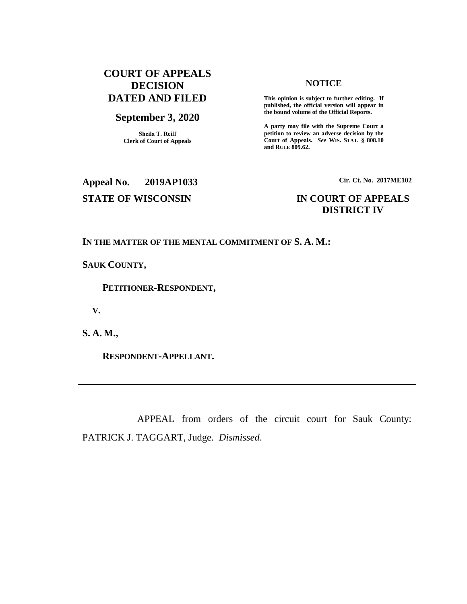### **COURT OF APPEALS DECISION DATED AND FILED**

### **September 3, 2020**

**Sheila T. Reiff Clerk of Court of Appeals**

### **NOTICE**

**This opinion is subject to further editing. If published, the official version will appear in the bound volume of the Official Reports.** 

**A party may file with the Supreme Court a petition to review an adverse decision by the Court of Appeals.** *See* **WIS. STAT. § 808.10 and RULE 809.62.** 

# **Appeal No. 2019AP1033 Cir. Ct. No. 2017ME102 STATE OF WISCONSIN IN COURT OF APPEALS**

# **DISTRICT IV**

### **IN THE MATTER OF THE MENTAL COMMITMENT OF S. A. M.:**

**SAUK COUNTY,**

 **PETITIONER-RESPONDENT,**

 **V.**

**S. A. M.,**

 **RESPONDENT-APPELLANT.**

APPEAL from orders of the circuit court for Sauk County: PATRICK J. TAGGART, Judge. *Dismissed*.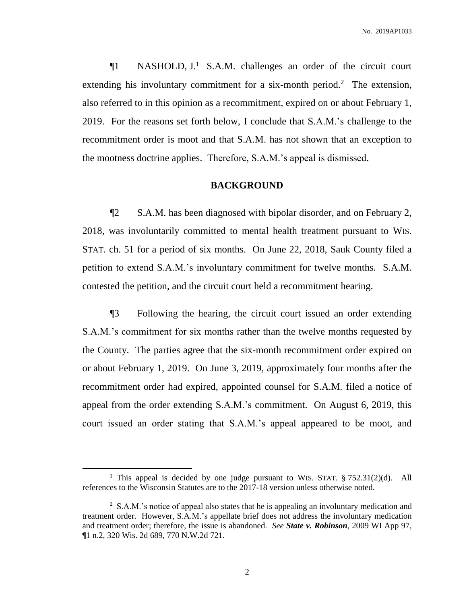¶1 NASHOLD, J.<sup>1</sup> S.A.M. challenges an order of the circuit court extending his involuntary commitment for a six-month period.<sup>2</sup> The extension, also referred to in this opinion as a recommitment, expired on or about February 1, 2019. For the reasons set forth below, I conclude that S.A.M.'s challenge to the recommitment order is moot and that S.A.M. has not shown that an exception to the mootness doctrine applies. Therefore, S.A.M.'s appeal is dismissed.

### **BACKGROUND**

¶2 S.A.M. has been diagnosed with bipolar disorder, and on February 2, 2018, was involuntarily committed to mental health treatment pursuant to WIS. STAT. ch. 51 for a period of six months. On June 22, 2018, Sauk County filed a petition to extend S.A.M.'s involuntary commitment for twelve months. S.A.M. contested the petition, and the circuit court held a recommitment hearing.

¶3 Following the hearing, the circuit court issued an order extending S.A.M.'s commitment for six months rather than the twelve months requested by the County. The parties agree that the six-month recommitment order expired on or about February 1, 2019. On June 3, 2019, approximately four months after the recommitment order had expired, appointed counsel for S.A.M. filed a notice of appeal from the order extending S.A.M.'s commitment. On August 6, 2019, this court issued an order stating that S.A.M.'s appeal appeared to be moot, and

 $\overline{a}$ 

<sup>&</sup>lt;sup>1</sup> This appeal is decided by one judge pursuant to WIS. STAT.  $\S 752.31(2)(d)$ . All references to the Wisconsin Statutes are to the 2017-18 version unless otherwise noted.

<sup>&</sup>lt;sup>2</sup> S.A.M.'s notice of appeal also states that he is appealing an involuntary medication and treatment order. However, S.A.M.'s appellate brief does not address the involuntary medication and treatment order; therefore, the issue is abandoned. *See State v. Robinson*, 2009 WI App 97, ¶1 n.2, 320 Wis. 2d 689, 770 N.W.2d 721.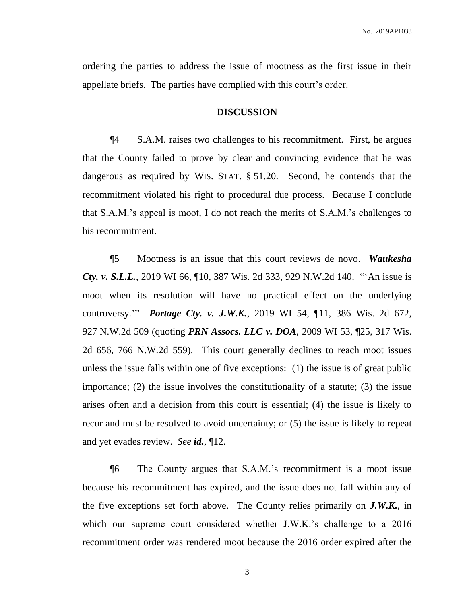ordering the parties to address the issue of mootness as the first issue in their appellate briefs. The parties have complied with this court's order.

#### **DISCUSSION**

¶4 S.A.M. raises two challenges to his recommitment. First, he argues that the County failed to prove by clear and convincing evidence that he was dangerous as required by WIS. STAT. § 51.20. Second, he contends that the recommitment violated his right to procedural due process. Because I conclude that S.A.M.'s appeal is moot, I do not reach the merits of S.A.M.'s challenges to his recommitment.

¶5 Mootness is an issue that this court reviews de novo. *Waukesha Cty. v. S.L.L.*, 2019 WI 66, ¶10, 387 Wis. 2d 333, 929 N.W.2d 140. "'An issue is moot when its resolution will have no practical effect on the underlying controversy.'" *Portage Cty. v. J.W.K.*, 2019 WI 54, ¶11, 386 Wis. 2d 672, 927 N.W.2d 509 (quoting *PRN Assocs. LLC v. DOA*, 2009 WI 53, ¶25, 317 Wis. 2d 656, 766 N.W.2d 559). This court generally declines to reach moot issues unless the issue falls within one of five exceptions: (1) the issue is of great public importance; (2) the issue involves the constitutionality of a statute; (3) the issue arises often and a decision from this court is essential; (4) the issue is likely to recur and must be resolved to avoid uncertainty; or (5) the issue is likely to repeat and yet evades review. *See id.*, ¶12.

¶6 The County argues that S.A.M.'s recommitment is a moot issue because his recommitment has expired, and the issue does not fall within any of the five exceptions set forth above. The County relies primarily on *J.W.K.*, in which our supreme court considered whether J.W.K.'s challenge to a 2016 recommitment order was rendered moot because the 2016 order expired after the

3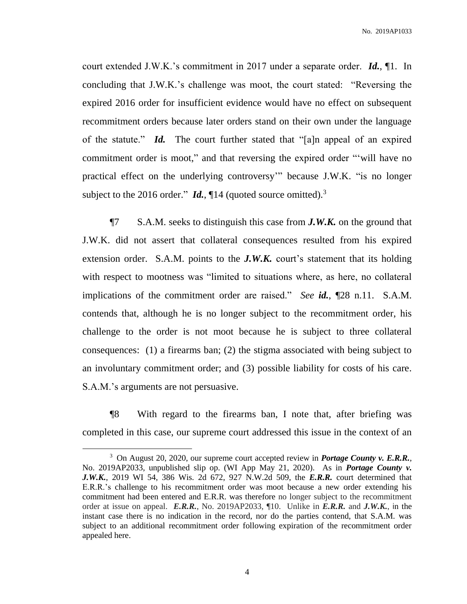No. 2019AP1033

court extended J.W.K.'s commitment in 2017 under a separate order. *Id.*, ¶1. In concluding that J.W.K.'s challenge was moot, the court stated: "Reversing the expired 2016 order for insufficient evidence would have no effect on subsequent recommitment orders because later orders stand on their own under the language of the statute." *Id.* The court further stated that "[a]n appeal of an expired commitment order is moot," and that reversing the expired order "'will have no practical effect on the underlying controversy'" because J.W.K. "is no longer subject to the 2016 order."  $\mathbf{Id}$ ,  $\P$ 14 (quoted source omitted).<sup>3</sup>

¶7 S.A.M. seeks to distinguish this case from *J.W.K.* on the ground that J.W.K. did not assert that collateral consequences resulted from his expired extension order. S.A.M. points to the **J.W.K.** court's statement that its holding with respect to mootness was "limited to situations where, as here, no collateral implications of the commitment order are raised." *See id.*, ¶28 n.11. S.A.M. contends that, although he is no longer subject to the recommitment order, his challenge to the order is not moot because he is subject to three collateral consequences: (1) a firearms ban; (2) the stigma associated with being subject to an involuntary commitment order; and (3) possible liability for costs of his care. S.A.M.'s arguments are not persuasive.

¶8 With regard to the firearms ban, I note that, after briefing was completed in this case, our supreme court addressed this issue in the context of an

 $\overline{a}$ 

<sup>3</sup> On August 20, 2020, our supreme court accepted review in *Portage County v. E.R.R.*, No. 2019AP2033, unpublished slip op. (WI App May 21, 2020). As in *Portage County v. J.W.K.*, 2019 WI 54, 386 Wis. 2d 672, 927 N.W.2d 509, the *E.R.R.* court determined that E.R.R.'s challenge to his recommitment order was moot because a new order extending his commitment had been entered and E.R.R. was therefore no longer subject to the recommitment order at issue on appeal. *E.R.R.*, No. 2019AP2033, ¶10. Unlike in *E.R.R.* and *J.W.K.*, in the instant case there is no indication in the record, nor do the parties contend, that S.A.M. was subject to an additional recommitment order following expiration of the recommitment order appealed here.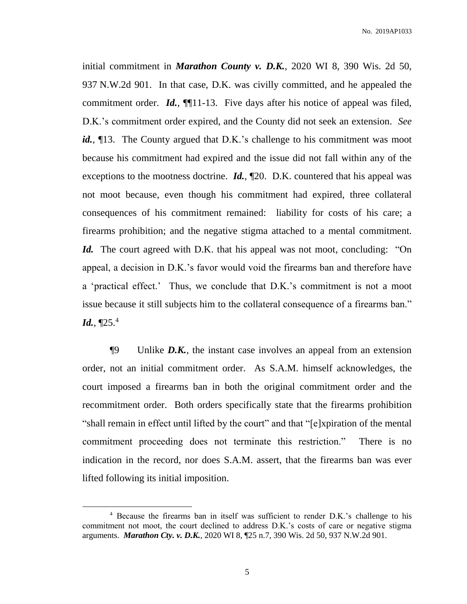initial commitment in *Marathon County v. D.K.*, 2020 WI 8, 390 Wis. 2d 50, 937 N.W.2d 901. In that case, D.K. was civilly committed, and he appealed the commitment order. *Id.*, **[11-13.** Five days after his notice of appeal was filed, D.K.'s commitment order expired, and the County did not seek an extension. *See*  id.,  $\P$ 13. The County argued that D.K.'s challenge to his commitment was moot because his commitment had expired and the issue did not fall within any of the exceptions to the mootness doctrine. *Id.*, ¶20. D.K. countered that his appeal was not moot because, even though his commitment had expired, three collateral consequences of his commitment remained: liability for costs of his care; a firearms prohibition; and the negative stigma attached to a mental commitment. *Id.* The court agreed with D.K. that his appeal was not moot, concluding: "On appeal, a decision in D.K.'s favor would void the firearms ban and therefore have a 'practical effect.' Thus, we conclude that D.K.'s commitment is not a moot issue because it still subjects him to the collateral consequence of a firearms ban." *Id.*, ¶25. 4

¶9 Unlike *D.K.*, the instant case involves an appeal from an extension order, not an initial commitment order. As S.A.M. himself acknowledges, the court imposed a firearms ban in both the original commitment order and the recommitment order. Both orders specifically state that the firearms prohibition "shall remain in effect until lifted by the court" and that "[e]xpiration of the mental commitment proceeding does not terminate this restriction." There is no indication in the record, nor does S.A.M. assert, that the firearms ban was ever lifted following its initial imposition.

 $\overline{a}$ 

<sup>4</sup> Because the firearms ban in itself was sufficient to render D.K.'s challenge to his commitment not moot, the court declined to address D.K.'s costs of care or negative stigma arguments. *Marathon Cty. v. D.K.*, 2020 WI 8, ¶25 n.7, 390 Wis. 2d 50, 937 N.W.2d 901.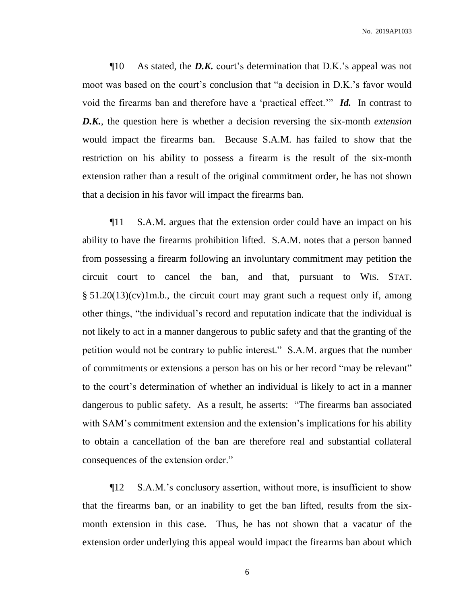¶10 As stated, the *D.K.* court's determination that D.K.'s appeal was not moot was based on the court's conclusion that "a decision in D.K.'s favor would void the firearms ban and therefore have a 'practical effect.'" *Id.* In contrast to *D.K.*, the question here is whether a decision reversing the six-month *extension* would impact the firearms ban. Because S.A.M. has failed to show that the restriction on his ability to possess a firearm is the result of the six-month extension rather than a result of the original commitment order, he has not shown that a decision in his favor will impact the firearms ban.

¶11 S.A.M. argues that the extension order could have an impact on his ability to have the firearms prohibition lifted. S.A.M. notes that a person banned from possessing a firearm following an involuntary commitment may petition the circuit court to cancel the ban, and that, pursuant to WIS. STAT.  $\S 51.20(13)(cv)1m.b.,$  the circuit court may grant such a request only if, among other things, "the individual's record and reputation indicate that the individual is not likely to act in a manner dangerous to public safety and that the granting of the petition would not be contrary to public interest." S.A.M. argues that the number of commitments or extensions a person has on his or her record "may be relevant" to the court's determination of whether an individual is likely to act in a manner dangerous to public safety. As a result, he asserts: "The firearms ban associated with SAM's commitment extension and the extension's implications for his ability to obtain a cancellation of the ban are therefore real and substantial collateral consequences of the extension order."

¶12 S.A.M.'s conclusory assertion, without more, is insufficient to show that the firearms ban, or an inability to get the ban lifted, results from the sixmonth extension in this case. Thus, he has not shown that a vacatur of the extension order underlying this appeal would impact the firearms ban about which

6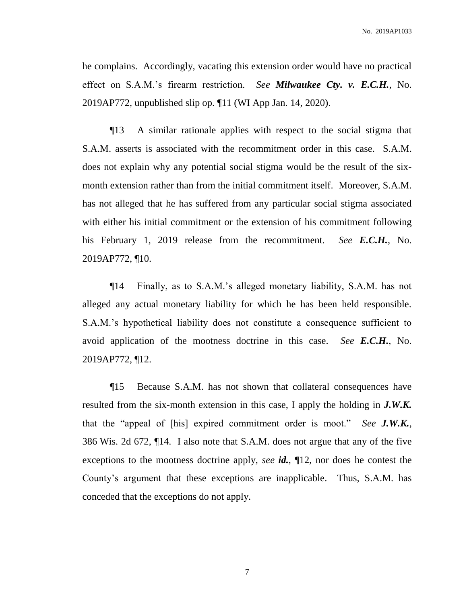he complains. Accordingly, vacating this extension order would have no practical effect on S.A.M.'s firearm restriction. *See Milwaukee Cty. v. E.C.H.*, No. 2019AP772, unpublished slip op. ¶11 (WI App Jan. 14, 2020).

¶13 A similar rationale applies with respect to the social stigma that S.A.M. asserts is associated with the recommitment order in this case. S.A.M. does not explain why any potential social stigma would be the result of the sixmonth extension rather than from the initial commitment itself. Moreover, S.A.M. has not alleged that he has suffered from any particular social stigma associated with either his initial commitment or the extension of his commitment following his February 1, 2019 release from the recommitment. *See E.C.H.*, No. 2019AP772, ¶10.

¶14 Finally, as to S.A.M.'s alleged monetary liability, S.A.M. has not alleged any actual monetary liability for which he has been held responsible. S.A.M.'s hypothetical liability does not constitute a consequence sufficient to avoid application of the mootness doctrine in this case. *See E.C.H.*, No. 2019AP772, ¶12.

¶15 Because S.A.M. has not shown that collateral consequences have resulted from the six-month extension in this case, I apply the holding in *J.W.K.* that the "appeal of [his] expired commitment order is moot." *See J.W.K.*, 386 Wis. 2d 672, ¶14. I also note that S.A.M. does not argue that any of the five exceptions to the mootness doctrine apply, *see id.*, ¶12, nor does he contest the County's argument that these exceptions are inapplicable. Thus, S.A.M. has conceded that the exceptions do not apply.

7